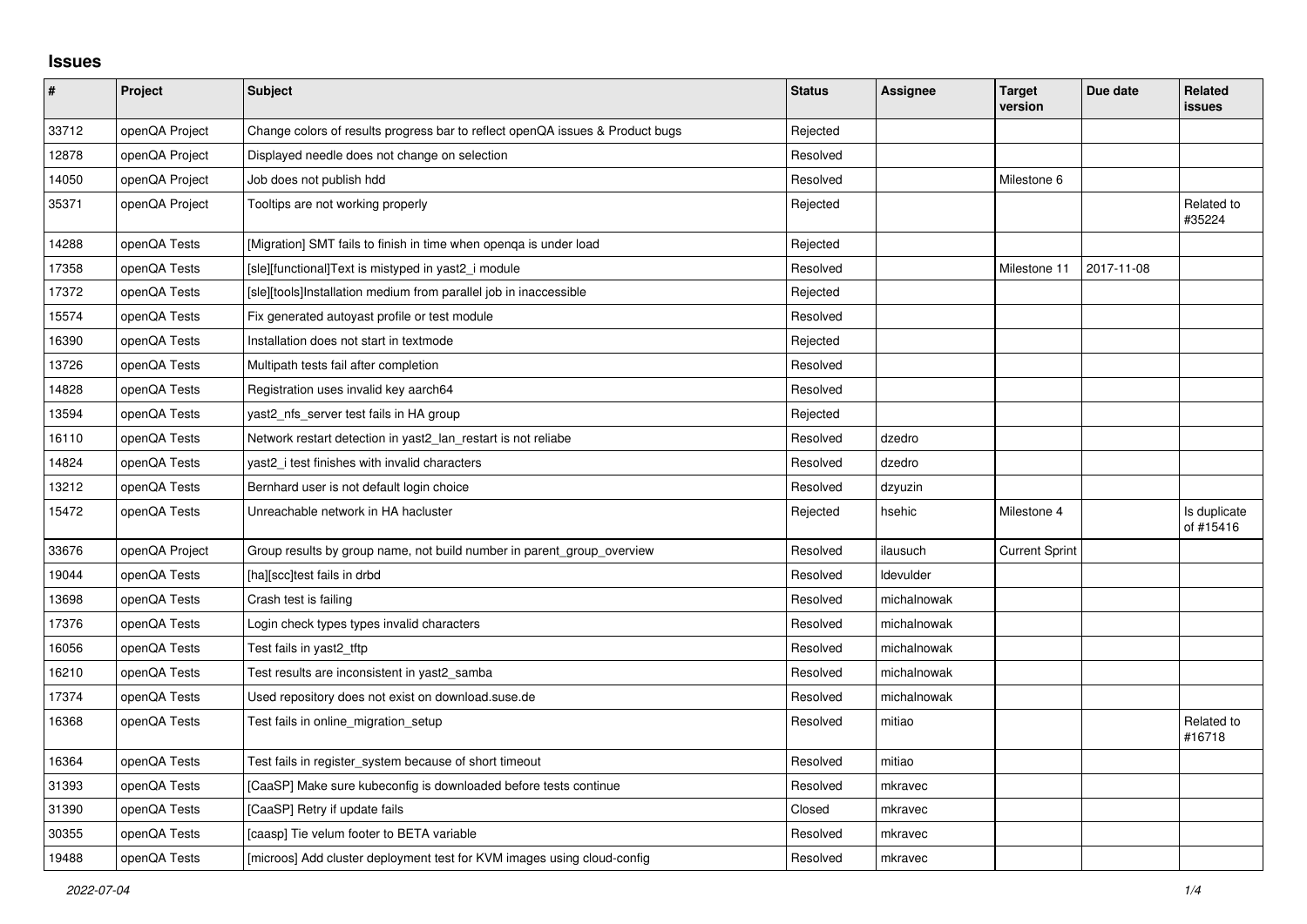## **Issues**

| $\vert$ # | Project        | <b>Subject</b>                                                                | <b>Status</b> | Assignee    | <b>Target</b><br>version | Due date   | Related<br><b>issues</b>  |
|-----------|----------------|-------------------------------------------------------------------------------|---------------|-------------|--------------------------|------------|---------------------------|
| 33712     | openQA Project | Change colors of results progress bar to reflect openQA issues & Product bugs | Rejected      |             |                          |            |                           |
| 12878     | openQA Project | Displayed needle does not change on selection                                 | Resolved      |             |                          |            |                           |
| 14050     | openQA Project | Job does not publish hdd                                                      | Resolved      |             | Milestone 6              |            |                           |
| 35371     | openQA Project | Tooltips are not working properly                                             | Rejected      |             |                          |            | Related to<br>#35224      |
| 14288     | openQA Tests   | [Migration] SMT fails to finish in time when openga is under load             | Rejected      |             |                          |            |                           |
| 17358     | openQA Tests   | [sle][functional]Text is mistyped in yast2_i module                           | Resolved      |             | Milestone 11             | 2017-11-08 |                           |
| 17372     | openQA Tests   | [sle][tools]Installation medium from parallel job in inaccessible             | Rejected      |             |                          |            |                           |
| 15574     | openQA Tests   | Fix generated autoyast profile or test module                                 | Resolved      |             |                          |            |                           |
| 16390     | openQA Tests   | Installation does not start in textmode                                       | Rejected      |             |                          |            |                           |
| 13726     | openQA Tests   | Multipath tests fail after completion                                         | Resolved      |             |                          |            |                           |
| 14828     | openQA Tests   | Registration uses invalid key aarch64                                         | Resolved      |             |                          |            |                           |
| 13594     | openQA Tests   | yast2_nfs_server test fails in HA group                                       | Rejected      |             |                          |            |                           |
| 16110     | openQA Tests   | Network restart detection in yast2_lan_restart is not reliabe                 | Resolved      | dzedro      |                          |            |                           |
| 14824     | openQA Tests   | yast2 i test finishes with invalid characters                                 | Resolved      | dzedro      |                          |            |                           |
| 13212     | openQA Tests   | Bernhard user is not default login choice                                     | Resolved      | dzyuzin     |                          |            |                           |
| 15472     | openQA Tests   | Unreachable network in HA hacluster                                           | Rejected      | hsehic      | Milestone 4              |            | Is duplicate<br>of #15416 |
| 33676     | openQA Project | Group results by group name, not build number in parent_group_overview        | Resolved      | ilausuch    | <b>Current Sprint</b>    |            |                           |
| 19044     | openQA Tests   | [ha][scc]test fails in drbd                                                   | Resolved      | Idevulder   |                          |            |                           |
| 13698     | openQA Tests   | Crash test is failing                                                         | Resolved      | michalnowak |                          |            |                           |
| 17376     | openQA Tests   | Login check types types invalid characters                                    | Resolved      | michalnowak |                          |            |                           |
| 16056     | openQA Tests   | Test fails in yast2 tftp                                                      | Resolved      | michalnowak |                          |            |                           |
| 16210     | openQA Tests   | Test results are inconsistent in yast2 samba                                  | Resolved      | michalnowak |                          |            |                           |
| 17374     | openQA Tests   | Used repository does not exist on download.suse.de                            | Resolved      | michalnowak |                          |            |                           |
| 16368     | openQA Tests   | Test fails in online_migration_setup                                          | Resolved      | mitiao      |                          |            | Related to<br>#16718      |
| 16364     | openQA Tests   | Test fails in register_system because of short timeout                        | Resolved      | mitiao      |                          |            |                           |
| 31393     | openQA Tests   | [CaaSP] Make sure kubeconfig is downloaded before tests continue              | Resolved      | mkravec     |                          |            |                           |
| 31390     | openQA Tests   | [CaaSP] Retry if update fails                                                 | Closed        | mkravec     |                          |            |                           |
| 30355     | openQA Tests   | [caasp] Tie velum footer to BETA variable                                     | Resolved      | mkravec     |                          |            |                           |
| 19488     | openQA Tests   | [microos] Add cluster deployment test for KVM images using cloud-config       | Resolved      | mkravec     |                          |            |                           |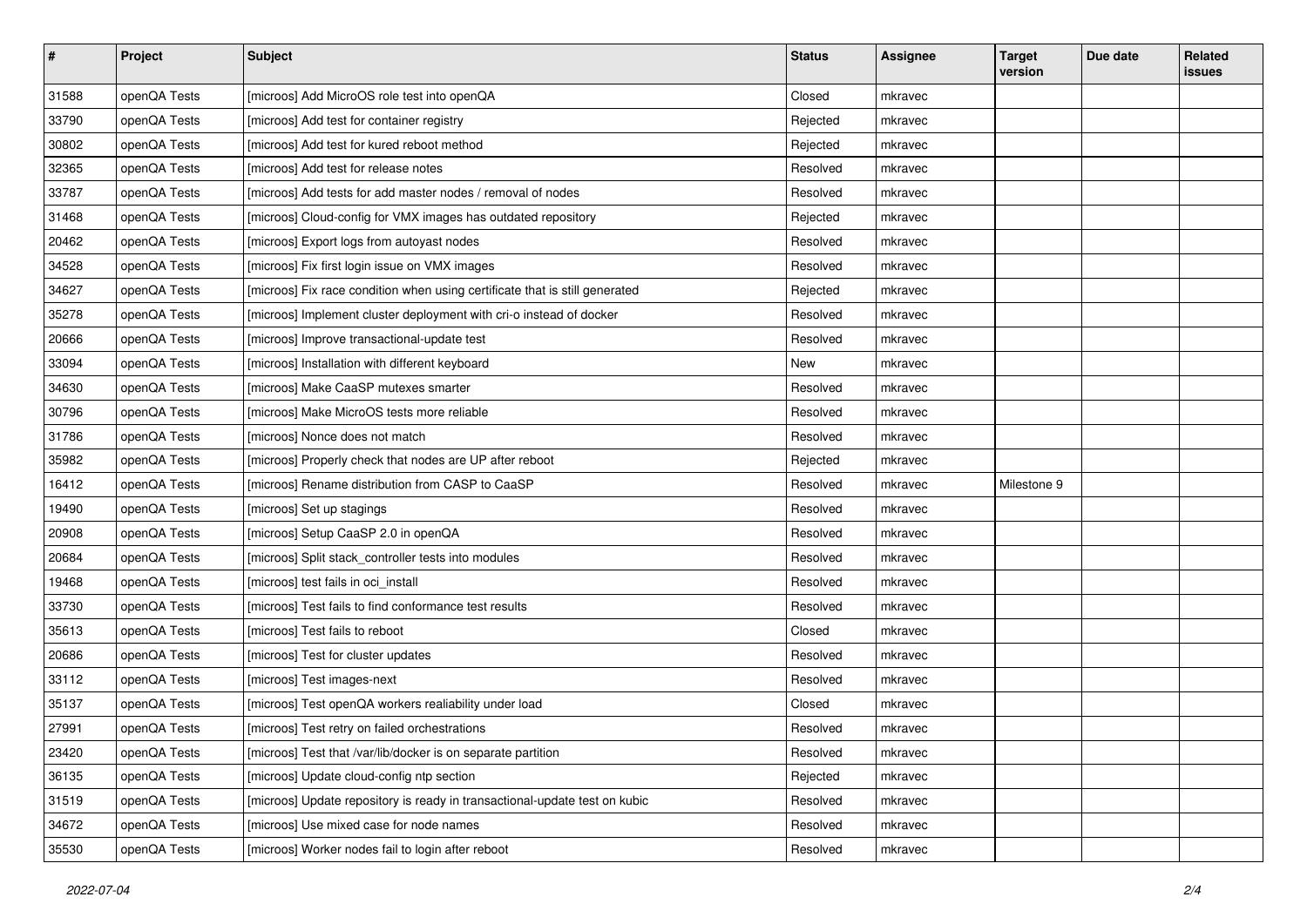| $\sharp$ | Project      | <b>Subject</b>                                                              | <b>Status</b> | <b>Assignee</b> | <b>Target</b><br>version | Due date | Related<br>issues |
|----------|--------------|-----------------------------------------------------------------------------|---------------|-----------------|--------------------------|----------|-------------------|
| 31588    | openQA Tests | [microos] Add MicroOS role test into openQA                                 | Closed        | mkravec         |                          |          |                   |
| 33790    | openQA Tests | [microos] Add test for container registry                                   | Rejected      | mkravec         |                          |          |                   |
| 30802    | openQA Tests | [microos] Add test for kured reboot method                                  | Rejected      | mkravec         |                          |          |                   |
| 32365    | openQA Tests | [microos] Add test for release notes                                        | Resolved      | mkravec         |                          |          |                   |
| 33787    | openQA Tests | [microos] Add tests for add master nodes / removal of nodes                 | Resolved      | mkravec         |                          |          |                   |
| 31468    | openQA Tests | [microos] Cloud-config for VMX images has outdated repository               | Rejected      | mkravec         |                          |          |                   |
| 20462    | openQA Tests | [microos] Export logs from autoyast nodes                                   | Resolved      | mkravec         |                          |          |                   |
| 34528    | openQA Tests | [microos] Fix first login issue on VMX images                               | Resolved      | mkravec         |                          |          |                   |
| 34627    | openQA Tests | [microos] Fix race condition when using certificate that is still generated | Rejected      | mkravec         |                          |          |                   |
| 35278    | openQA Tests | [microos] Implement cluster deployment with cri-o instead of docker         | Resolved      | mkravec         |                          |          |                   |
| 20666    | openQA Tests | [microos] Improve transactional-update test                                 | Resolved      | mkravec         |                          |          |                   |
| 33094    | openQA Tests | [microos] Installation with different keyboard                              | New           | mkravec         |                          |          |                   |
| 34630    | openQA Tests | [microos] Make CaaSP mutexes smarter                                        | Resolved      | mkravec         |                          |          |                   |
| 30796    | openQA Tests | [microos] Make MicroOS tests more reliable                                  | Resolved      | mkravec         |                          |          |                   |
| 31786    | openQA Tests | [microos] Nonce does not match                                              | Resolved      | mkravec         |                          |          |                   |
| 35982    | openQA Tests | [microos] Properly check that nodes are UP after reboot                     | Rejected      | mkravec         |                          |          |                   |
| 16412    | openQA Tests | [microos] Rename distribution from CASP to CaaSP                            | Resolved      | mkravec         | Milestone 9              |          |                   |
| 19490    | openQA Tests | [microos] Set up stagings                                                   | Resolved      | mkravec         |                          |          |                   |
| 20908    | openQA Tests | [microos] Setup CaaSP 2.0 in openQA                                         | Resolved      | mkravec         |                          |          |                   |
| 20684    | openQA Tests | [microos] Split stack_controller tests into modules                         | Resolved      | mkravec         |                          |          |                   |
| 19468    | openQA Tests | [microos] test fails in oci_install                                         | Resolved      | mkravec         |                          |          |                   |
| 33730    | openQA Tests | [microos] Test fails to find conformance test results                       | Resolved      | mkravec         |                          |          |                   |
| 35613    | openQA Tests | [microos] Test fails to reboot                                              | Closed        | mkravec         |                          |          |                   |
| 20686    | openQA Tests | [microos] Test for cluster updates                                          | Resolved      | mkravec         |                          |          |                   |
| 33112    | openQA Tests | [microos] Test images-next                                                  | Resolved      | mkravec         |                          |          |                   |
| 35137    | openQA Tests | [microos] Test openQA workers realiability under load                       | Closed        | mkravec         |                          |          |                   |
| 27991    | openQA Tests | [microos] Test retry on failed orchestrations                               | Resolved      | mkravec         |                          |          |                   |
| 23420    | openQA Tests | [microos] Test that /var/lib/docker is on separate partition                | Resolved      | mkravec         |                          |          |                   |
| 36135    | openQA Tests | [microos] Update cloud-config ntp section                                   | Rejected      | mkravec         |                          |          |                   |
| 31519    | openQA Tests | [microos] Update repository is ready in transactional-update test on kubic  | Resolved      | mkravec         |                          |          |                   |
| 34672    | openQA Tests | [microos] Use mixed case for node names                                     | Resolved      | mkravec         |                          |          |                   |
| 35530    | openQA Tests | [microos] Worker nodes fail to login after reboot                           | Resolved      | mkravec         |                          |          |                   |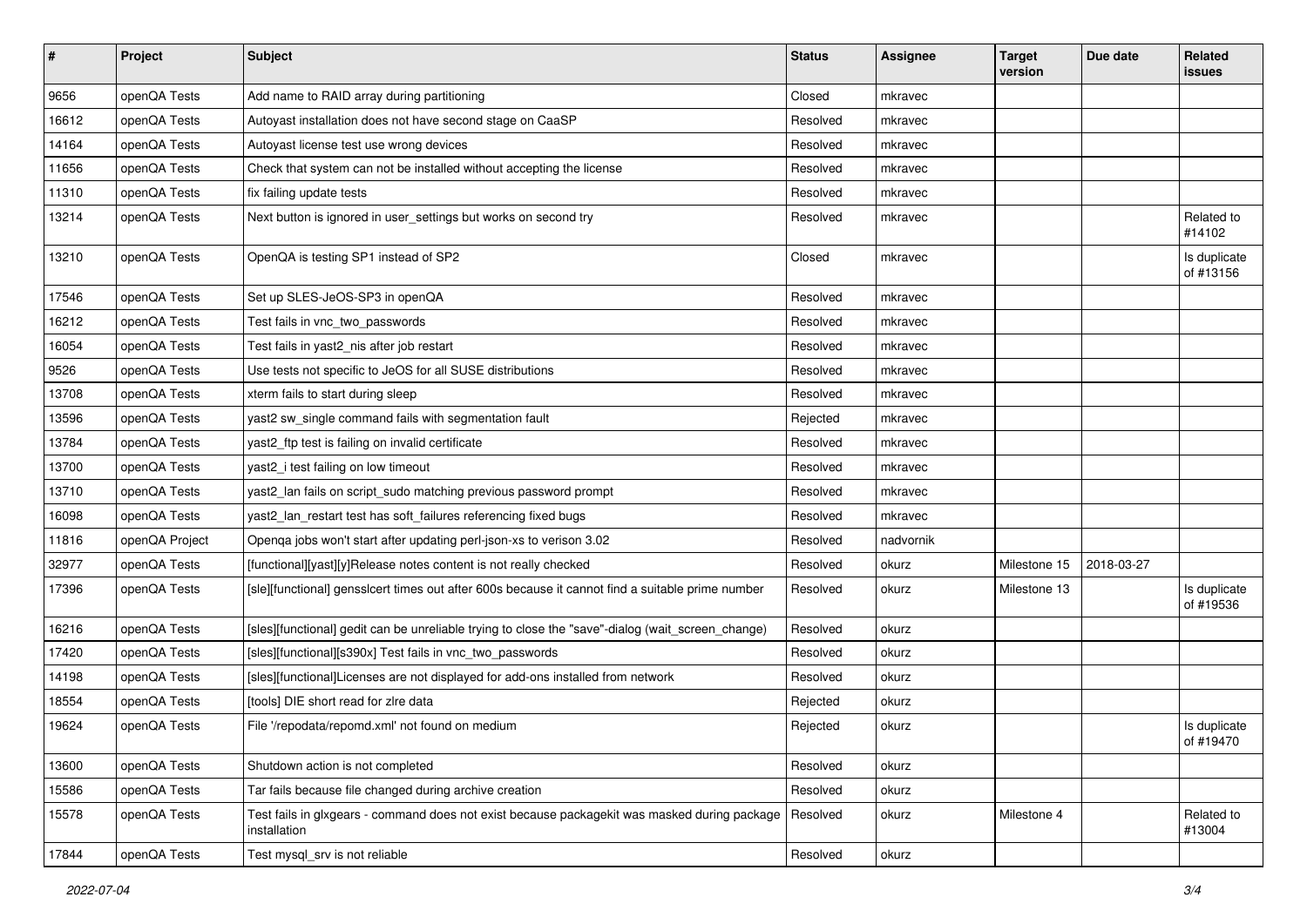| $\sharp$ | Project        | <b>Subject</b>                                                                                               | <b>Status</b> | <b>Assignee</b> | <b>Target</b><br>version | Due date   | Related<br>issues         |
|----------|----------------|--------------------------------------------------------------------------------------------------------------|---------------|-----------------|--------------------------|------------|---------------------------|
| 9656     | openQA Tests   | Add name to RAID array during partitioning                                                                   | Closed        | mkravec         |                          |            |                           |
| 16612    | openQA Tests   | Autoyast installation does not have second stage on CaaSP                                                    | Resolved      | mkravec         |                          |            |                           |
| 14164    | openQA Tests   | Autoyast license test use wrong devices                                                                      | Resolved      | mkravec         |                          |            |                           |
| 11656    | openQA Tests   | Check that system can not be installed without accepting the license                                         | Resolved      | mkravec         |                          |            |                           |
| 11310    | openQA Tests   | fix failing update tests                                                                                     | Resolved      | mkravec         |                          |            |                           |
| 13214    | openQA Tests   | Next button is ignored in user_settings but works on second try                                              | Resolved      | mkravec         |                          |            | Related to<br>#14102      |
| 13210    | openQA Tests   | OpenQA is testing SP1 instead of SP2                                                                         | Closed        | mkravec         |                          |            | Is duplicate<br>of #13156 |
| 17546    | openQA Tests   | Set up SLES-JeOS-SP3 in openQA                                                                               | Resolved      | mkravec         |                          |            |                           |
| 16212    | openQA Tests   | Test fails in vnc_two_passwords                                                                              | Resolved      | mkravec         |                          |            |                           |
| 16054    | openQA Tests   | Test fails in yast2_nis after job restart                                                                    | Resolved      | mkravec         |                          |            |                           |
| 9526     | openQA Tests   | Use tests not specific to JeOS for all SUSE distributions                                                    | Resolved      | mkravec         |                          |            |                           |
| 13708    | openQA Tests   | xterm fails to start during sleep                                                                            | Resolved      | mkravec         |                          |            |                           |
| 13596    | openQA Tests   | yast2 sw_single command fails with segmentation fault                                                        | Rejected      | mkravec         |                          |            |                           |
| 13784    | openQA Tests   | yast2_ftp test is failing on invalid certificate                                                             | Resolved      | mkravec         |                          |            |                           |
| 13700    | openQA Tests   | yast2_i test failing on low timeout                                                                          | Resolved      | mkravec         |                          |            |                           |
| 13710    | openQA Tests   | yast2_lan fails on script_sudo matching previous password prompt                                             | Resolved      | mkravec         |                          |            |                           |
| 16098    | openQA Tests   | yast2_lan_restart test has soft_failures referencing fixed bugs                                              | Resolved      | mkravec         |                          |            |                           |
| 11816    | openQA Project | Openqa jobs won't start after updating perl-json-xs to verison 3.02                                          | Resolved      | nadvornik       |                          |            |                           |
| 32977    | openQA Tests   | [functional][yast][y]Release notes content is not really checked                                             | Resolved      | okurz           | Milestone 15             | 2018-03-27 |                           |
| 17396    | openQA Tests   | [sle][functional] gensslcert times out after 600s because it cannot find a suitable prime number             | Resolved      | okurz           | Milestone 13             |            | Is duplicate<br>of #19536 |
| 16216    | openQA Tests   | [sles][functional] gedit can be unreliable trying to close the "save"-dialog (wait_screen_change)            | Resolved      | okurz           |                          |            |                           |
| 17420    | openQA Tests   | [sles][functional][s390x] Test fails in vnc_two_passwords                                                    | Resolved      | okurz           |                          |            |                           |
| 14198    | openQA Tests   | [sles][functional]Licenses are not displayed for add-ons installed from network                              | Resolved      | okurz           |                          |            |                           |
| 18554    | openQA Tests   | [tools] DIE short read for zire data                                                                         | Rejected      | okurz           |                          |            |                           |
| 19624    | openQA Tests   | File '/repodata/repomd.xml' not found on medium                                                              | Rejected      | okurz           |                          |            | Is duplicate<br>of #19470 |
| 13600    | openQA Tests   | Shutdown action is not completed                                                                             | Resolved      | okurz           |                          |            |                           |
| 15586    | openQA Tests   | Tar fails because file changed during archive creation                                                       | Resolved      | okurz           |                          |            |                           |
| 15578    | openQA Tests   | Test fails in glxgears - command does not exist because packagekit was masked during package<br>installation | Resolved      | okurz           | Milestone 4              |            | Related to<br>#13004      |
| 17844    | openQA Tests   | Test mysql_srv is not reliable                                                                               | Resolved      | okurz           |                          |            |                           |